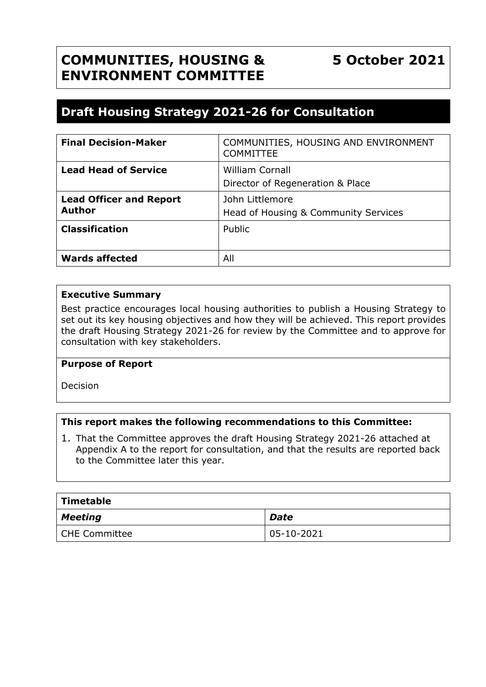# **COMMUNITIES, HOUSING & ENVIRONMENT COMMITTEE**

# **Draft Housing Strategy 2021-26 for Consultation**

| <b>Final Decision-Maker</b>                     | COMMUNITIES, HOUSING AND ENVIRONMENT<br><b>COMMITTEE</b>   |
|-------------------------------------------------|------------------------------------------------------------|
| <b>Lead Head of Service</b>                     | <b>William Cornall</b><br>Director of Regeneration & Place |
| <b>Lead Officer and Report</b><br><b>Author</b> | John Littlemore<br>Head of Housing & Community Services    |
| <b>Classification</b>                           | Public                                                     |
| <b>Wards affected</b>                           | All                                                        |

#### **Executive Summary**

Best practice encourages local housing authorities to publish a Housing Strategy to set out its key housing objectives and how they will be achieved. This report provides the draft Housing Strategy 2021-26 for review by the Committee and to approve for consultation with key stakeholders.

#### **Purpose of Report**

Decision

## **This report makes the following recommendations to this Committee:**

1. That the Committee approves the draft Housing Strategy 2021-26 attached at Appendix A to the report for consultation, and that the results are reported back to the Committee later this year.

| $\mid$ Timetable |               |  |  |  |
|------------------|---------------|--|--|--|
| $\vert$ Meeting  | <b>Date</b>   |  |  |  |
| CHE Committee    | $ 05-10-2021$ |  |  |  |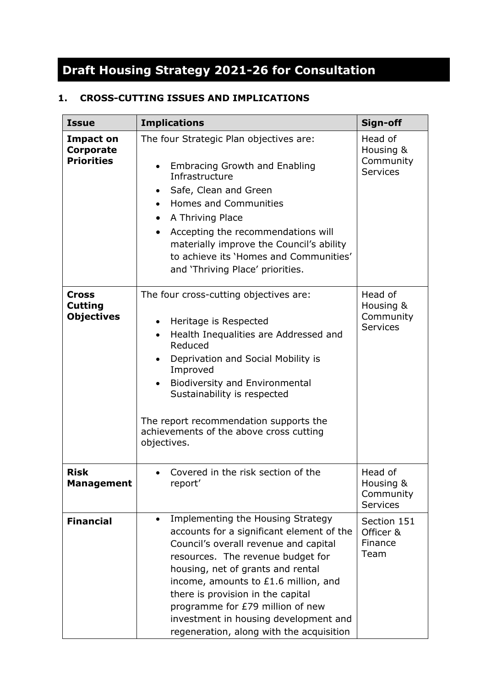# **Draft Housing Strategy 2021-26 for Consultation**

# **1. CROSS-CUTTING ISSUES AND IMPLICATIONS**

| <b>Issue</b>                                              | <b>Implications</b>                                                                                                                                                                                                                                                                                                                                                                                     | Sign-off                                             |
|-----------------------------------------------------------|---------------------------------------------------------------------------------------------------------------------------------------------------------------------------------------------------------------------------------------------------------------------------------------------------------------------------------------------------------------------------------------------------------|------------------------------------------------------|
| <b>Impact on</b><br><b>Corporate</b><br><b>Priorities</b> | The four Strategic Plan objectives are:<br><b>Embracing Growth and Enabling</b><br>Infrastructure<br>Safe, Clean and Green<br>$\bullet$<br><b>Homes and Communities</b><br>$\bullet$<br>A Thriving Place<br>$\bullet$<br>Accepting the recommendations will<br>materially improve the Council's ability<br>to achieve its 'Homes and Communities'<br>and 'Thriving Place' priorities.                   | Head of<br>Housing &<br>Community<br><b>Services</b> |
| <b>Cross</b><br><b>Cutting</b><br><b>Objectives</b>       | The four cross-cutting objectives are:<br>Heritage is Respected<br>$\bullet$<br>Health Inequalities are Addressed and<br>$\bullet$<br>Reduced<br>Deprivation and Social Mobility is<br>Improved<br><b>Biodiversity and Environmental</b><br>$\bullet$<br>Sustainability is respected<br>The report recommendation supports the<br>achievements of the above cross cutting<br>objectives.                | Head of<br>Housing &<br>Community<br><b>Services</b> |
| <b>Risk</b><br><b>Management</b>                          | Covered in the risk section of the<br>$\bullet$<br>report'                                                                                                                                                                                                                                                                                                                                              | Head of<br>Housing &<br>Community<br><b>Services</b> |
| <b>Financial</b>                                          | Implementing the Housing Strategy<br>accounts for a significant element of the<br>Council's overall revenue and capital<br>resources. The revenue budget for<br>housing, net of grants and rental<br>income, amounts to £1.6 million, and<br>there is provision in the capital<br>programme for £79 million of new<br>investment in housing development and<br>regeneration, along with the acquisition | Section 151<br>Officer &<br>Finance<br>Team          |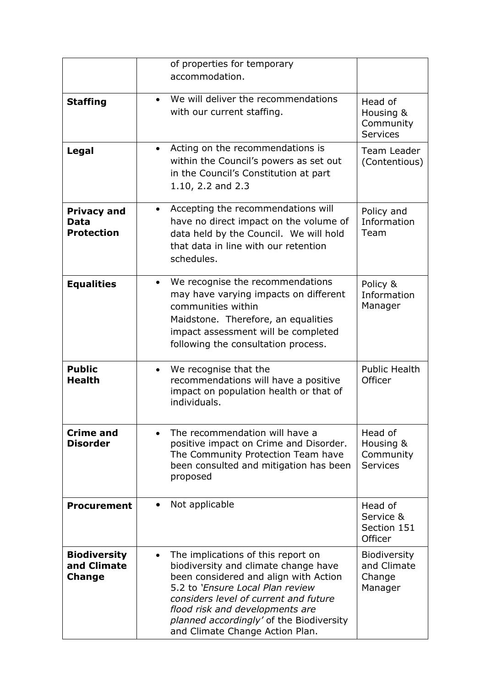|                                                     | of properties for temporary                                                                                                                                                                                                                                                                                                     |                                                      |
|-----------------------------------------------------|---------------------------------------------------------------------------------------------------------------------------------------------------------------------------------------------------------------------------------------------------------------------------------------------------------------------------------|------------------------------------------------------|
|                                                     | accommodation.                                                                                                                                                                                                                                                                                                                  |                                                      |
| <b>Staffing</b>                                     | We will deliver the recommendations<br>$\bullet$<br>with our current staffing.                                                                                                                                                                                                                                                  | Head of<br>Housing &<br>Community<br><b>Services</b> |
| Legal                                               | Acting on the recommendations is<br>$\bullet$<br>within the Council's powers as set out<br>in the Council's Constitution at part<br>1.10, 2.2 and 2.3                                                                                                                                                                           | <b>Team Leader</b><br>(Contentious)                  |
| <b>Privacy and</b><br>Data<br><b>Protection</b>     | Accepting the recommendations will<br>$\bullet$<br>have no direct impact on the volume of<br>data held by the Council. We will hold<br>that data in line with our retention<br>schedules.                                                                                                                                       | Policy and<br>Information<br>Team                    |
| <b>Equalities</b>                                   | We recognise the recommendations<br>$\bullet$<br>may have varying impacts on different<br>communities within<br>Maidstone. Therefore, an equalities<br>impact assessment will be completed<br>following the consultation process.                                                                                               | Policy &<br>Information<br>Manager                   |
| <b>Public</b><br><b>Health</b>                      | We recognise that the<br>$\bullet$<br>recommendations will have a positive<br>impact on population health or that of<br>individuals.                                                                                                                                                                                            | <b>Public Health</b><br>Officer                      |
| <b>Crime and</b><br><b>Disorder</b>                 | The recommendation will have a<br>positive impact on Crime and Disorder.<br>The Community Protection Team have<br>been consulted and mitigation has been<br>proposed                                                                                                                                                            | Head of<br>Housing &<br>Community<br><b>Services</b> |
| <b>Procurement</b>                                  | Not applicable<br>$\bullet$                                                                                                                                                                                                                                                                                                     | Head of<br>Service &<br>Section 151<br>Officer       |
| <b>Biodiversity</b><br>and Climate<br><b>Change</b> | The implications of this report on<br>$\bullet$<br>biodiversity and climate change have<br>been considered and align with Action<br>5.2 to 'Ensure Local Plan review<br>considers level of current and future<br>flood risk and developments are<br>planned accordingly' of the Biodiversity<br>and Climate Change Action Plan. | Biodiversity<br>and Climate<br>Change<br>Manager     |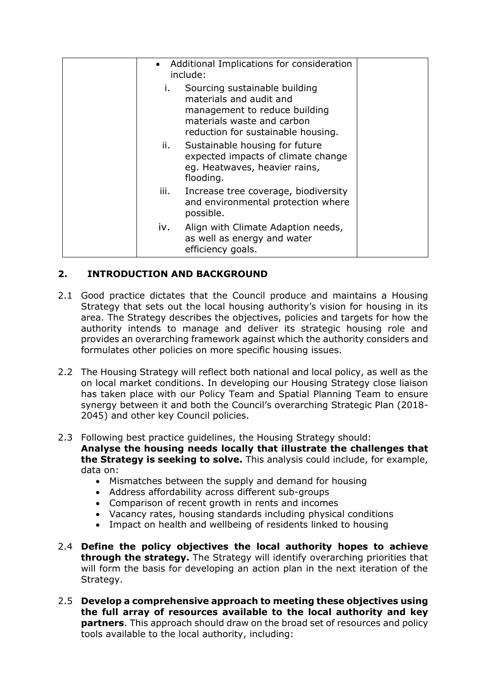| • Additional Implications for consideration<br>include: |                                                                                                                                                               |  |
|---------------------------------------------------------|---------------------------------------------------------------------------------------------------------------------------------------------------------------|--|
| i.                                                      | Sourcing sustainable building<br>materials and audit and<br>management to reduce building<br>materials waste and carbon<br>reduction for sustainable housing. |  |
| ii.                                                     | Sustainable housing for future<br>expected impacts of climate change<br>eg. Heatwaves, heavier rains,<br>flooding.                                            |  |
| iii.                                                    | Increase tree coverage, biodiversity<br>and environmental protection where<br>possible.                                                                       |  |
| iv.                                                     | Align with Climate Adaption needs,<br>as well as energy and water<br>efficiency goals.                                                                        |  |

# **2. INTRODUCTION AND BACKGROUND**

- 2.1 Good practice dictates that the Council produce and maintains a Housing Strategy that sets out the local housing authority's vision for housing in its area. The Strategy describes the objectives, policies and targets for how the authority intends to manage and deliver its strategic housing role and provides an overarching framework against which the authority considers and formulates other policies on more specific housing issues.
- 2.2 The Housing Strategy will reflect both national and local policy, as well as the on local market conditions. In developing our Housing Strategy close liaison has taken place with our Policy Team and Spatial Planning Team to ensure synergy between it and both the Council's overarching Strategic Plan (2018- 2045) and other key Council policies.
- 2.3 Following best practice guidelines, the Housing Strategy should: **Analyse the housing needs locally that illustrate the challenges that the Strategy is seeking to solve.** This analysis could include, for example, data on:
	- Mismatches between the supply and demand for housing
	- Address affordability across different sub-groups
	- Comparison of recent growth in rents and incomes
	- Vacancy rates, housing standards including physical conditions
	- Impact on health and wellbeing of residents linked to housing
- 2.4 **Define the policy objectives the local authority hopes to achieve through the strategy.** The Strategy will identify overarching priorities that will form the basis for developing an action plan in the next iteration of the Strategy.
- 2.5 **Develop a comprehensive approach to meeting these objectives using the full array of resources available to the local authority and key partners**. This approach should draw on the broad set of resources and policy tools available to the local authority, including: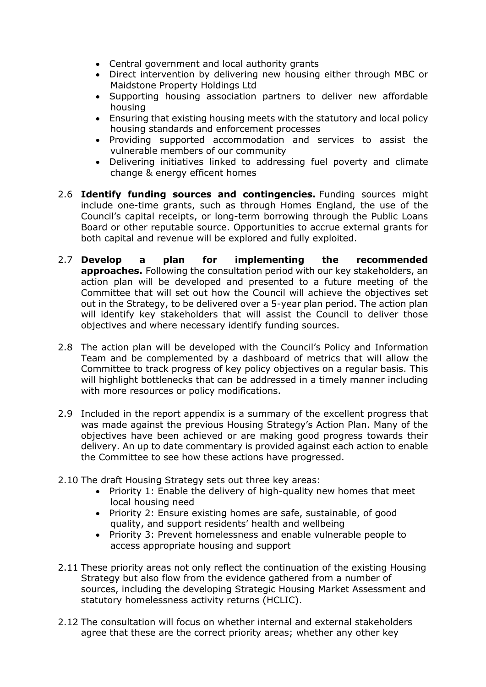- Central government and local authority grants
- Direct intervention by delivering new housing either through MBC or Maidstone Property Holdings Ltd
- Supporting housing association partners to deliver new affordable housing
- Ensuring that existing housing meets with the statutory and local policy housing standards and enforcement processes
- Providing supported accommodation and services to assist the vulnerable members of our community
- Delivering initiatives linked to addressing fuel poverty and climate change & energy efficent homes
- 2.6 **Identify funding sources and contingencies.** Funding sources might include one-time grants, such as through Homes England, the use of the Council's capital receipts, or long-term borrowing through the Public Loans Board or other reputable source. Opportunities to accrue external grants for both capital and revenue will be explored and fully exploited.
- 2.7 **Develop a plan for implementing the recommended approaches.** Following the consultation period with our key stakeholders, an action plan will be developed and presented to a future meeting of the Committee that will set out how the Council will achieve the objectives set out in the Strategy, to be delivered over a 5-year plan period. The action plan will identify key stakeholders that will assist the Council to deliver those objectives and where necessary identify funding sources.
- 2.8 The action plan will be developed with the Council's Policy and Information Team and be complemented by a dashboard of metrics that will allow the Committee to track progress of key policy objectives on a regular basis. This will highlight bottlenecks that can be addressed in a timely manner including with more resources or policy modifications.
- 2.9 Included in the report appendix is a summary of the excellent progress that was made against the previous Housing Strategy's Action Plan. Many of the objectives have been achieved or are making good progress towards their delivery. An up to date commentary is provided against each action to enable the Committee to see how these actions have progressed.
- 2.10 The draft Housing Strategy sets out three key areas:
	- Priority 1: Enable the delivery of high-quality new homes that meet local housing need
	- Priority 2: Ensure existing homes are safe, sustainable, of good quality, and support residents' health and wellbeing
	- Priority 3: Prevent homelessness and enable vulnerable people to access appropriate housing and support
- 2.11 These priority areas not only reflect the continuation of the existing Housing Strategy but also flow from the evidence gathered from a number of sources, including the developing Strategic Housing Market Assessment and statutory homelessness activity returns (HCLIC).
- 2.12 The consultation will focus on whether internal and external stakeholders agree that these are the correct priority areas; whether any other key